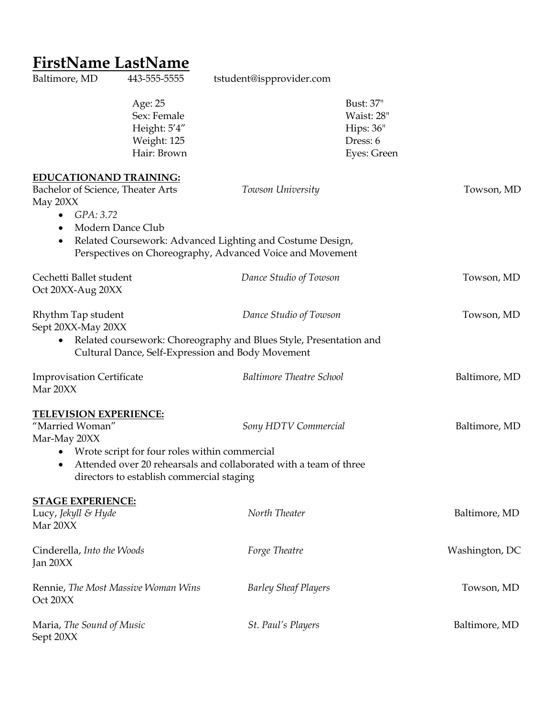## **FirstName LastName**

Sept 20XX

Baltimore, MD 443-555-5555 tstudent@ispprovider.com Age: 25 Bust: 37" Sex: Female Waist: 28" Height:  $5'4''$  Hips:  $36''$  Weight: 125 Dress: 6 Hair: Brown Eyes: Green **EDUCATIONAND TRAINING:** Bachelor of Science, Theater Arts *Towson University* Towson, MD May 20XX • *GPA: 3.72* • Modern Dance Club • Related Coursework: Advanced Lighting and Costume Design, Perspectives on Choreography, Advanced Voice and Movement Cechetti Ballet student *Dance Studio of Towson* Towson, MD Oct 20XX-Aug 20XX Rhythm Tap student *Dance Studio of Towson* Towson, MD Sept 20XX-May 20XX • Related coursework: Choreography and Blues Style, Presentation and Cultural Dance, Self-Expression and Body Movement Improvisation Certificate *Baltimore Theatre School* Baltimore, MD Mar 20XX **TELEVISION EXPERIENCE:** "Married Woman" *Sony HDTV Commercial* Baltimore, MD Mar-May 20XX • Wrote script for four roles within commercial • Attended over 20 rehearsals and collaborated with a team of three directors to establish commercial staging **STAGE EXPERIENCE:** Lucy, *Jekyll & Hyde North Theater* Baltimore, MD Mar 20XX Cinderella, *Into the Woods Forge Theatre* Washington, DC Jan 20XX Rennie, *The Most Massive Woman Wins Barley Sheaf Players Towson, MD* Oct 20XX Maria, *The Sound of Music St. Paul's Players* Baltimore, MD